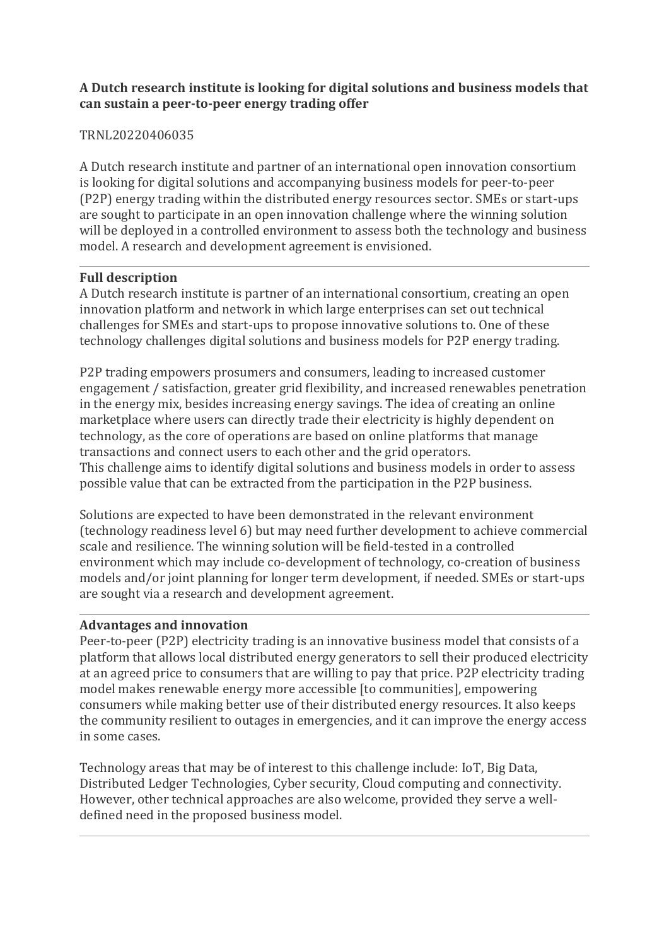## **A Dutch research institute is looking for digital solutions and business models that can sustain a peer-to-peer energy trading offer**

## TRNL20220406035

A Dutch research institute and partner of an international open innovation consortium is looking for digital solutions and accompanying business models for peer-to-peer (P2P) energy trading within the distributed energy resources sector. SMEs or start-ups are sought to participate in an open innovation challenge where the winning solution will be deployed in a controlled environment to assess both the technology and business model. A research and development agreement is envisioned.

## **Full description**

A Dutch research institute is partner of an international consortium, creating an open innovation platform and network in which large enterprises can set out technical challenges for SMEs and start-ups to propose innovative solutions to. One of these technology challenges digital solutions and business models for P2P energy trading.

P2P trading empowers prosumers and consumers, leading to increased customer engagement / satisfaction, greater grid flexibility, and increased renewables penetration in the energy mix, besides increasing energy savings. The idea of creating an online marketplace where users can directly trade their electricity is highly dependent on technology, as the core of operations are based on online platforms that manage transactions and connect users to each other and the grid operators. This challenge aims to identify digital solutions and business models in order to assess possible value that can be extracted from the participation in the P2P business.

Solutions are expected to have been demonstrated in the relevant environment (technology readiness level 6) but may need further development to achieve commercial scale and resilience. The winning solution will be field-tested in a controlled environment which may include co-development of technology, co-creation of business models and/or joint planning for longer term development, if needed. SMEs or start-ups are sought via a research and development agreement.

#### **Advantages and innovation**

Peer-to-peer (P2P) electricity trading is an innovative business model that consists of a platform that allows local distributed energy generators to sell their produced electricity at an agreed price to consumers that are willing to pay that price. P2P electricity trading model makes renewable energy more accessible [to communities], empowering consumers while making better use of their distributed energy resources. It also keeps the community resilient to outages in emergencies, and it can improve the energy access in some cases.

Technology areas that may be of interest to this challenge include: IoT, Big Data, Distributed Ledger Technologies, Cyber security, Cloud computing and connectivity. However, other technical approaches are also welcome, provided they serve a welldefined need in the proposed business model.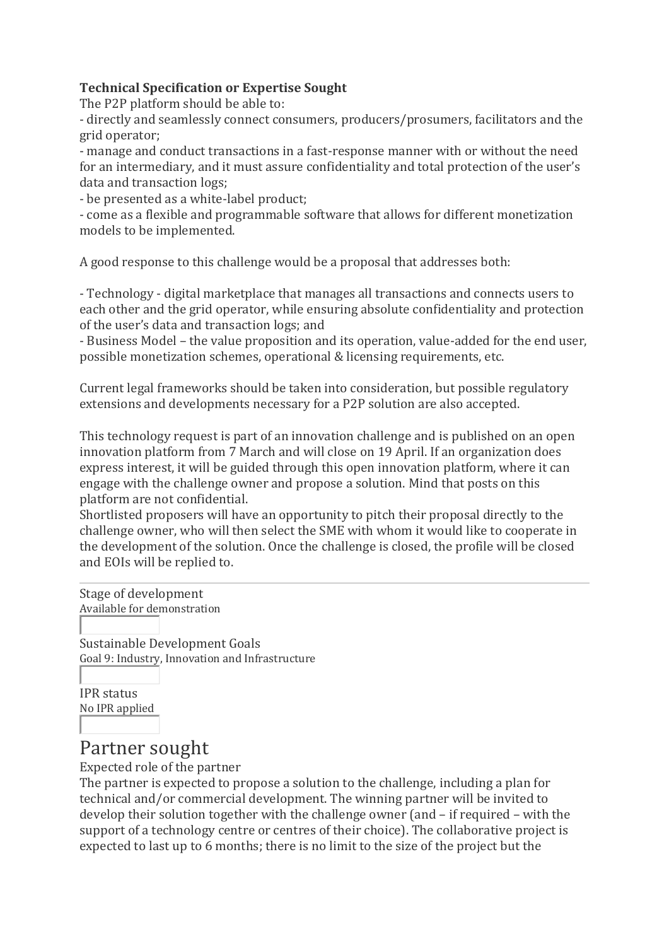## **Technical Specification or Expertise Sought**

The P2P platform should be able to:

- directly and seamlessly connect consumers, producers/prosumers, facilitators and the grid operator;

- manage and conduct transactions in a fast-response manner with or without the need for an intermediary, and it must assure confidentiality and total protection of the user's data and transaction logs;

- be presented as a white-label product;

- come as a flexible and programmable software that allows for different monetization models to be implemented.

A good response to this challenge would be a proposal that addresses both:

- Technology - digital marketplace that manages all transactions and connects users to each other and the grid operator, while ensuring absolute confidentiality and protection of the user's data and transaction logs; and

- Business Model – the value proposition and its operation, value-added for the end user, possible monetization schemes, operational & licensing requirements, etc.

Current legal frameworks should be taken into consideration, but possible regulatory extensions and developments necessary for a P2P solution are also accepted.

This technology request is part of an innovation challenge and is published on an open innovation platform from 7 March and will close on 19 April. If an organization does express interest, it will be guided through this open innovation platform, where it can engage with the challenge owner and propose a solution. Mind that posts on this platform are not confidential.

Shortlisted proposers will have an opportunity to pitch their proposal directly to the challenge owner, who will then select the SME with whom it would like to cooperate in the development of the solution. Once the challenge is closed, the profile will be closed and EOIs will be replied to.

Stage of development Available for demonstration

Sustainable Development Goals Goal 9: Industry, Innovation and Infrastructure

IPR status No IPR applied

# Partner sought

Expected role of the partner

The partner is expected to propose a solution to the challenge, including a plan for technical and/or commercial development. The winning partner will be invited to develop their solution together with the challenge owner (and – if required – with the support of a technology centre or centres of their choice). The collaborative project is expected to last up to 6 months; there is no limit to the size of the project but the